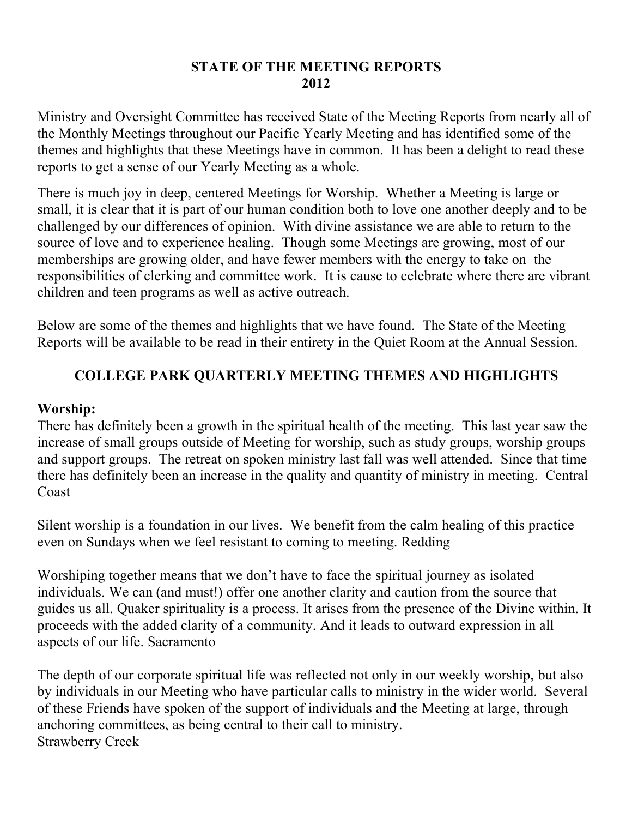#### **STATE OF THE MEETING REPORTS 2012**

Ministry and Oversight Committee has received State of the Meeting Reports from nearly all of the Monthly Meetings throughout our Pacific Yearly Meeting and has identified some of the themes and highlights that these Meetings have in common. It has been a delight to read these reports to get a sense of our Yearly Meeting as a whole.

There is much joy in deep, centered Meetings for Worship. Whether a Meeting is large or small, it is clear that it is part of our human condition both to love one another deeply and to be challenged by our differences of opinion. With divine assistance we are able to return to the source of love and to experience healing. Though some Meetings are growing, most of our memberships are growing older, and have fewer members with the energy to take on the responsibilities of clerking and committee work. It is cause to celebrate where there are vibrant children and teen programs as well as active outreach.

Below are some of the themes and highlights that we have found. The State of the Meeting Reports will be available to be read in their entirety in the Quiet Room at the Annual Session.

# **COLLEGE PARK QUARTERLY MEETING THEMES AND HIGHLIGHTS**

#### **Worship:**

There has definitely been a growth in the spiritual health of the meeting. This last year saw the increase of small groups outside of Meeting for worship, such as study groups, worship groups and support groups. The retreat on spoken ministry last fall was well attended. Since that time there has definitely been an increase in the quality and quantity of ministry in meeting. Central Coast

Silent worship is a foundation in our lives. We benefit from the calm healing of this practice even on Sundays when we feel resistant to coming to meeting. Redding

Worshiping together means that we don't have to face the spiritual journey as isolated individuals. We can (and must!) offer one another clarity and caution from the source that guides us all. Quaker spirituality is a process. It arises from the presence of the Divine within. It proceeds with the added clarity of a community. And it leads to outward expression in all aspects of our life. Sacramento

The depth of our corporate spiritual life was reflected not only in our weekly worship, but also by individuals in our Meeting who have particular calls to ministry in the wider world. Several of these Friends have spoken of the support of individuals and the Meeting at large, through anchoring committees, as being central to their call to ministry. Strawberry Creek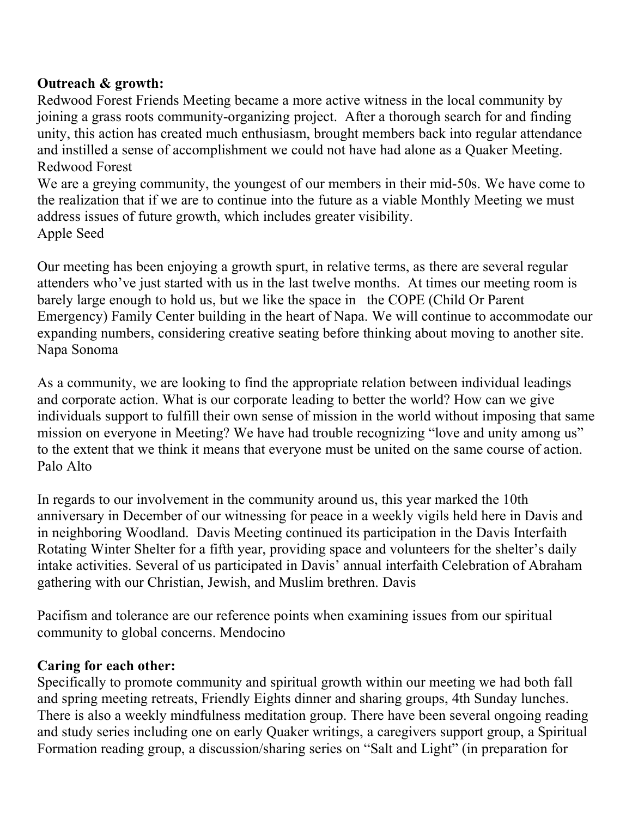# **Outreach & growth:**

Redwood Forest Friends Meeting became a more active witness in the local community by joining a grass roots community-organizing project. After a thorough search for and finding unity, this action has created much enthusiasm, brought members back into regular attendance and instilled a sense of accomplishment we could not have had alone as a Quaker Meeting. Redwood Forest

We are a greying community, the youngest of our members in their mid-50s. We have come to the realization that if we are to continue into the future as a viable Monthly Meeting we must address issues of future growth, which includes greater visibility. Apple Seed

Our meeting has been enjoying a growth spurt, in relative terms, as there are several regular attenders who've just started with us in the last twelve months. At times our meeting room is barely large enough to hold us, but we like the space in the COPE (Child Or Parent Emergency) Family Center building in the heart of Napa. We will continue to accommodate our expanding numbers, considering creative seating before thinking about moving to another site. Napa Sonoma

As a community, we are looking to find the appropriate relation between individual leadings and corporate action. What is our corporate leading to better the world? How can we give individuals support to fulfill their own sense of mission in the world without imposing that same mission on everyone in Meeting? We have had trouble recognizing "love and unity among us" to the extent that we think it means that everyone must be united on the same course of action. Palo Alto

In regards to our involvement in the community around us, this year marked the 10th anniversary in December of our witnessing for peace in a weekly vigils held here in Davis and in neighboring Woodland. Davis Meeting continued its participation in the Davis Interfaith Rotating Winter Shelter for a fifth year, providing space and volunteers for the shelter's daily intake activities. Several of us participated in Davis' annual interfaith Celebration of Abraham gathering with our Christian, Jewish, and Muslim brethren. Davis

Pacifism and tolerance are our reference points when examining issues from our spiritual community to global concerns. Mendocino

## **Caring for each other:**

Specifically to promote community and spiritual growth within our meeting we had both fall and spring meeting retreats, Friendly Eights dinner and sharing groups, 4th Sunday lunches. There is also a weekly mindfulness meditation group. There have been several ongoing reading and study series including one on early Quaker writings, a caregivers support group, a Spiritual Formation reading group, a discussion/sharing series on "Salt and Light" (in preparation for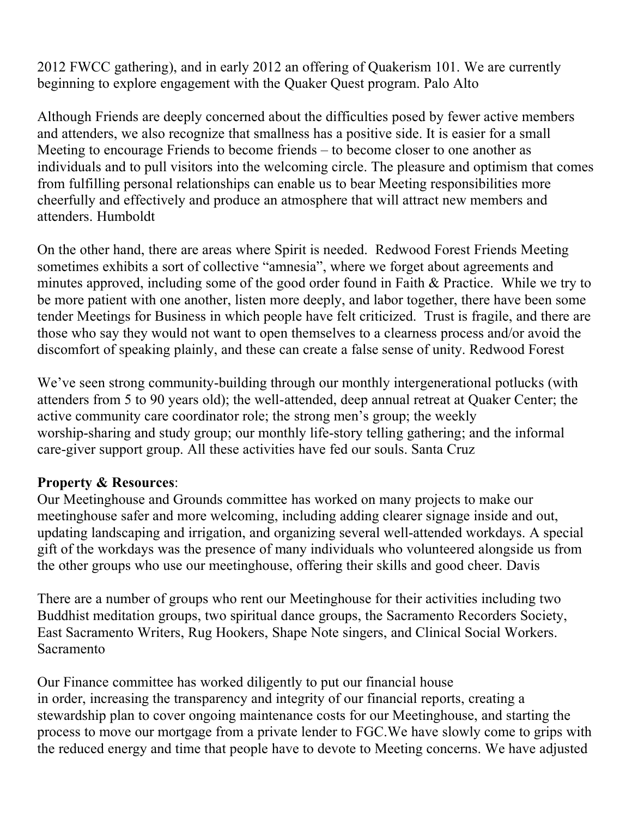2012 FWCC gathering), and in early 2012 an offering of Quakerism 101. We are currently beginning to explore engagement with the Quaker Quest program. Palo Alto

Although Friends are deeply concerned about the difficulties posed by fewer active members and attenders, we also recognize that smallness has a positive side. It is easier for a small Meeting to encourage Friends to become friends – to become closer to one another as individuals and to pull visitors into the welcoming circle. The pleasure and optimism that comes from fulfilling personal relationships can enable us to bear Meeting responsibilities more cheerfully and effectively and produce an atmosphere that will attract new members and attenders. Humboldt

On the other hand, there are areas where Spirit is needed. Redwood Forest Friends Meeting sometimes exhibits a sort of collective "amnesia", where we forget about agreements and minutes approved, including some of the good order found in Faith & Practice. While we try to be more patient with one another, listen more deeply, and labor together, there have been some tender Meetings for Business in which people have felt criticized. Trust is fragile, and there are those who say they would not want to open themselves to a clearness process and/or avoid the discomfort of speaking plainly, and these can create a false sense of unity. Redwood Forest

We've seen strong community-building through our monthly intergenerational potlucks (with attenders from 5 to 90 years old); the well-attended, deep annual retreat at Quaker Center; the active community care coordinator role; the strong men's group; the weekly worship-sharing and study group; our monthly life-story telling gathering; and the informal care-giver support group. All these activities have fed our souls. Santa Cruz

## **Property & Resources**:

Our Meetinghouse and Grounds committee has worked on many projects to make our meetinghouse safer and more welcoming, including adding clearer signage inside and out, updating landscaping and irrigation, and organizing several well-attended workdays. A special gift of the workdays was the presence of many individuals who volunteered alongside us from the other groups who use our meetinghouse, offering their skills and good cheer. Davis

There are a number of groups who rent our Meetinghouse for their activities including two Buddhist meditation groups, two spiritual dance groups, the Sacramento Recorders Society, East Sacramento Writers, Rug Hookers, Shape Note singers, and Clinical Social Workers. Sacramento

Our Finance committee has worked diligently to put our financial house in order, increasing the transparency and integrity of our financial reports, creating a stewardship plan to cover ongoing maintenance costs for our Meetinghouse, and starting the process to move our mortgage from a private lender to FGC.We have slowly come to grips with the reduced energy and time that people have to devote to Meeting concerns. We have adjusted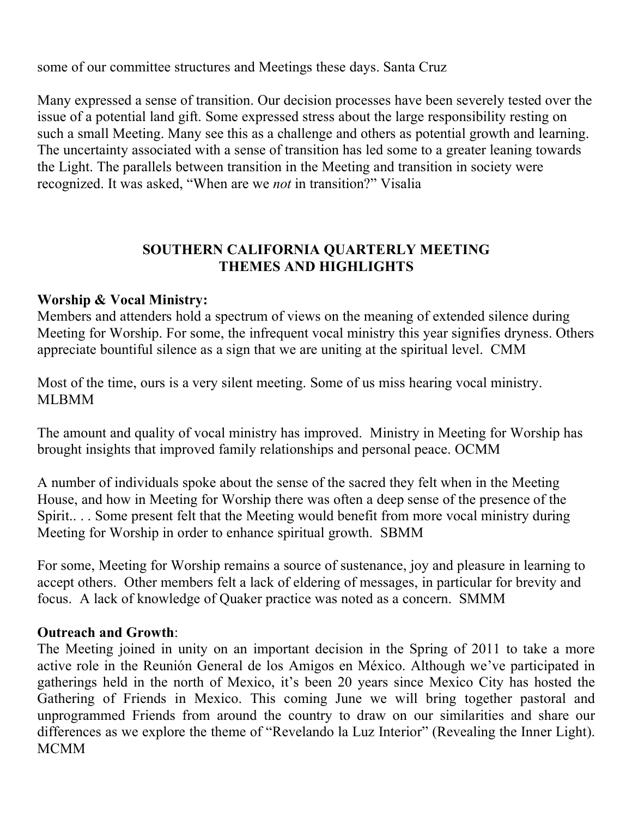some of our committee structures and Meetings these days. Santa Cruz

Many expressed a sense of transition. Our decision processes have been severely tested over the issue of a potential land gift. Some expressed stress about the large responsibility resting on such a small Meeting. Many see this as a challenge and others as potential growth and learning. The uncertainty associated with a sense of transition has led some to a greater leaning towards the Light. The parallels between transition in the Meeting and transition in society were recognized. It was asked, "When are we *not* in transition?" Visalia

# **SOUTHERN CALIFORNIA QUARTERLY MEETING THEMES AND HIGHLIGHTS**

#### **Worship & Vocal Ministry:**

Members and attenders hold a spectrum of views on the meaning of extended silence during Meeting for Worship. For some, the infrequent vocal ministry this year signifies dryness. Others appreciate bountiful silence as a sign that we are uniting at the spiritual level. CMM

Most of the time, ours is a very silent meeting. Some of us miss hearing vocal ministry. MLBMM

The amount and quality of vocal ministry has improved. Ministry in Meeting for Worship has brought insights that improved family relationships and personal peace. OCMM

A number of individuals spoke about the sense of the sacred they felt when in the Meeting House, and how in Meeting for Worship there was often a deep sense of the presence of the Spirit.. . . Some present felt that the Meeting would benefit from more vocal ministry during Meeting for Worship in order to enhance spiritual growth. SBMM

For some, Meeting for Worship remains a source of sustenance, joy and pleasure in learning to accept others. Other members felt a lack of eldering of messages, in particular for brevity and focus. A lack of knowledge of Quaker practice was noted as a concern. SMMM

#### **Outreach and Growth**:

The Meeting joined in unity on an important decision in the Spring of 2011 to take a more active role in the Reunión General de los Amigos en México. Although we've participated in gatherings held in the north of Mexico, it's been 20 years since Mexico City has hosted the Gathering of Friends in Mexico. This coming June we will bring together pastoral and unprogrammed Friends from around the country to draw on our similarities and share our differences as we explore the theme of "Revelando la Luz Interior" (Revealing the Inner Light). **MCMM**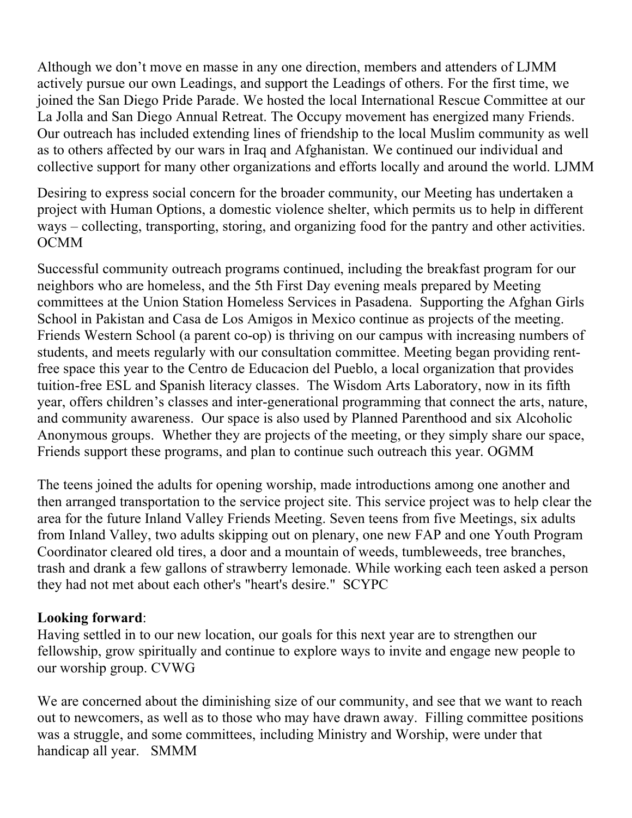Although we don't move en masse in any one direction, members and attenders of LJMM actively pursue our own Leadings, and support the Leadings of others. For the first time, we joined the San Diego Pride Parade. We hosted the local International Rescue Committee at our La Jolla and San Diego Annual Retreat. The Occupy movement has energized many Friends. Our outreach has included extending lines of friendship to the local Muslim community as well as to others affected by our wars in Iraq and Afghanistan. We continued our individual and collective support for many other organizations and efforts locally and around the world. LJMM

Desiring to express social concern for the broader community, our Meeting has undertaken a project with Human Options, a domestic violence shelter, which permits us to help in different ways – collecting, transporting, storing, and organizing food for the pantry and other activities. OCMM

Successful community outreach programs continued, including the breakfast program for our neighbors who are homeless, and the 5th First Day evening meals prepared by Meeting committees at the Union Station Homeless Services in Pasadena. Supporting the Afghan Girls School in Pakistan and Casa de Los Amigos in Mexico continue as projects of the meeting. Friends Western School (a parent co-op) is thriving on our campus with increasing numbers of students, and meets regularly with our consultation committee. Meeting began providing rentfree space this year to the Centro de Educacion del Pueblo, a local organization that provides tuition-free ESL and Spanish literacy classes. The Wisdom Arts Laboratory, now in its fifth year, offers children's classes and inter-generational programming that connect the arts, nature, and community awareness. Our space is also used by Planned Parenthood and six Alcoholic Anonymous groups. Whether they are projects of the meeting, or they simply share our space, Friends support these programs, and plan to continue such outreach this year. OGMM

The teens joined the adults for opening worship, made introductions among one another and then arranged transportation to the service project site. This service project was to help clear the area for the future Inland Valley Friends Meeting. Seven teens from five Meetings, six adults from Inland Valley, two adults skipping out on plenary, one new FAP and one Youth Program Coordinator cleared old tires, a door and a mountain of weeds, tumbleweeds, tree branches, trash and drank a few gallons of strawberry lemonade. While working each teen asked a person they had not met about each other's "heart's desire." SCYPC

## **Looking forward**:

Having settled in to our new location, our goals for this next year are to strengthen our fellowship, grow spiritually and continue to explore ways to invite and engage new people to our worship group. CVWG

We are concerned about the diminishing size of our community, and see that we want to reach out to newcomers, as well as to those who may have drawn away. Filling committee positions was a struggle, and some committees, including Ministry and Worship, were under that handicap all year. SMMM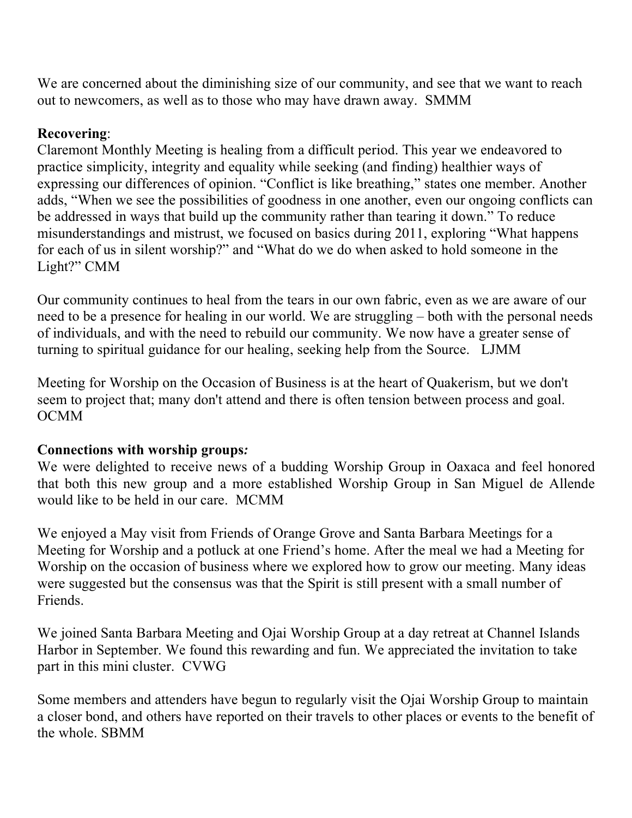We are concerned about the diminishing size of our community, and see that we want to reach out to newcomers, as well as to those who may have drawn away. SMMM

# **Recovering**:

Claremont Monthly Meeting is healing from a difficult period. This year we endeavored to practice simplicity, integrity and equality while seeking (and finding) healthier ways of expressing our differences of opinion. "Conflict is like breathing," states one member. Another adds, "When we see the possibilities of goodness in one another, even our ongoing conflicts can be addressed in ways that build up the community rather than tearing it down." To reduce misunderstandings and mistrust, we focused on basics during 2011, exploring "What happens for each of us in silent worship?" and "What do we do when asked to hold someone in the Light?" CMM

Our community continues to heal from the tears in our own fabric, even as we are aware of our need to be a presence for healing in our world. We are struggling – both with the personal needs of individuals, and with the need to rebuild our community. We now have a greater sense of turning to spiritual guidance for our healing, seeking help from the Source. LJMM

Meeting for Worship on the Occasion of Business is at the heart of Quakerism, but we don't seem to project that; many don't attend and there is often tension between process and goal. OCMM

## **Connections with worship groups***:*

We were delighted to receive news of a budding Worship Group in Oaxaca and feel honored that both this new group and a more established Worship Group in San Miguel de Allende would like to be held in our care. MCMM

We enjoyed a May visit from Friends of Orange Grove and Santa Barbara Meetings for a Meeting for Worship and a potluck at one Friend's home. After the meal we had a Meeting for Worship on the occasion of business where we explored how to grow our meeting. Many ideas were suggested but the consensus was that the Spirit is still present with a small number of Friends.

We joined Santa Barbara Meeting and Ojai Worship Group at a day retreat at Channel Islands Harbor in September. We found this rewarding and fun. We appreciated the invitation to take part in this mini cluster. CVWG

Some members and attenders have begun to regularly visit the Ojai Worship Group to maintain a closer bond, and others have reported on their travels to other places or events to the benefit of the whole. SBMM